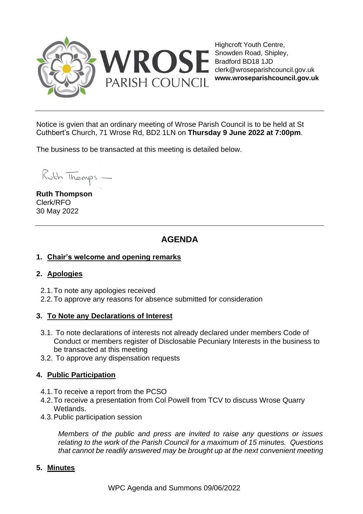

Highcroft Youth Centre, Snowden Road, Shipley, Bradford BD18 1JD clerk@wroseparishcouncil.gov.uk **www.wroseparishcouncil.gov.uk**

Notice is gvien that an ordinary meeting of Wrose Parish Council is to be held at St Cuthbert's Church, 71 Wrose Rd, BD2 1LN on **Thursday 9 June 2022 at 7:00pm**.

The business to be transacted at this meeting is detailed below.

Ruth Thomps -

**Ruth Thompson** Clerk/RFO 30 May 2022

# **AGENDA**

### **1. Chair's welcome and opening remarks**

### **2. Apologies**

- 2.1.To note any apologies received
- 2.2.To approve any reasons for absence submitted for consideration

### **3. To Note any Declarations of Interest**

- 3.1. To note declarations of interests not already declared under members Code of Conduct or members register of Disclosable Pecuniary Interests in the business to be transacted at this meeting
- 3.2. To approve any dispensation requests

### **4. Public Participation**

- 4.1.To receive a report from the PCSO
- 4.2.To receive a presentation from Col Powell from TCV to discuss Wrose Quarry Wetlands.
- 4.3.Public participation session

*Members of the public and press are invited to raise any questions or issues relating to the work of the Parish Council for a maximum of 15 minutes. Questions that cannot be readily answered may be brought up at the next convenient meeting*

#### **5. Minutes**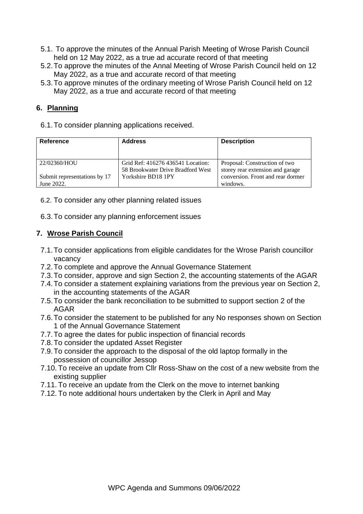- 5.1. To approve the minutes of the Annual Parish Meeting of Wrose Parish Council held on 12 May 2022, as a true ad accurate record of that meeting
- 5.2.To approve the minutes of the Annal Meeting of Wrose Parish Council held on 12 May 2022, as a true and accurate record of that meeting
- 5.3.To approve minutes of the ordinary meeting of Wrose Parish Council held on 12 May 2022, as a true and accurate record of that meeting

# **6. Planning**

6.1.To consider planning applications received.

| Reference                                  | <b>Address</b>                                                         | <b>Description</b>                                                |  |
|--------------------------------------------|------------------------------------------------------------------------|-------------------------------------------------------------------|--|
| 22/02360/HOU                               | Grid Ref: 416276 436541 Location:<br>58 Brookwater Drive Bradford West | Proposal: Construction of two<br>storey rear extension and garage |  |
| Submit representations by 17<br>June 2022. | Yorkshire BD18 1PY                                                     | conversion. Front and rear dormer<br>windows.                     |  |

#### 6.2. To consider any other planning related issues

6.3.To consider any planning enforcement issues

### **7. Wrose Parish Council**

- 7.1.To consider applications from eligible candidates for the Wrose Parish councillor vacancy
- 7.2.To complete and approve the Annual Governance Statement
- 7.3.To consider, approve and sign Section 2, the accounting statements of the AGAR
- 7.4.To consider a statement explaining variations from the previous year on Section 2, in the accounting statements of the AGAR
- 7.5.To consider the bank reconciliation to be submitted to support section 2 of the AGAR
- 7.6.To consider the statement to be published for any No responses shown on Section 1 of the Annual Governance Statement
- 7.7.To agree the dates for public inspection of financial records
- 7.8.To consider the updated Asset Register
- 7.9.To consider the approach to the disposal of the old laptop formally in the possession of councillor Jessop
- 7.10. To receive an update from Cllr Ross-Shaw on the cost of a new website from the existing supplier
- 7.11. To receive an update from the Clerk on the move to internet banking
- 7.12. To note additional hours undertaken by the Clerk in April and May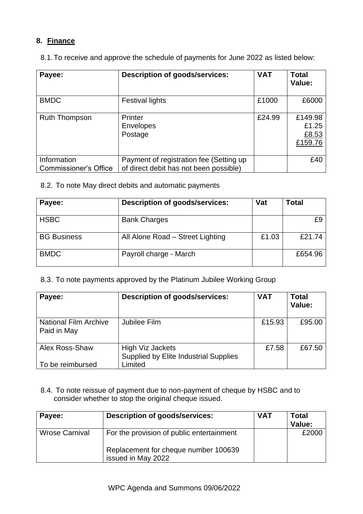# **8. Finance**

8.1.To receive and approve the schedule of payments for June 2022 as listed below:

| Payee:                                      | <b>Description of goods/services:</b>                                             | <b>VAT</b> | <b>Total</b><br>Value:               |
|---------------------------------------------|-----------------------------------------------------------------------------------|------------|--------------------------------------|
| <b>BMDC</b>                                 | <b>Festival lights</b>                                                            | £1000      | £6000                                |
| <b>Ruth Thompson</b>                        | Printer<br><b>Envelopes</b><br>Postage                                            | £24.99     | £149.98<br>£1.25<br>£8.53<br>£159.76 |
| Information<br><b>Commissioner's Office</b> | Payment of registration fee (Setting up<br>of direct debit has not been possible) |            | £40                                  |

8.2. To note May direct debits and automatic payments

| Payee:             | <b>Description of goods/services:</b> | Vat   | Total   |
|--------------------|---------------------------------------|-------|---------|
| <b>HSBC</b>        | <b>Bank Charges</b>                   |       | £9      |
| <b>BG Business</b> | All Alone Road - Street Lighting      | £1.03 | £21.74  |
| <b>BMDC</b>        | Payroll charge - March                |       | £654.96 |

# 8.3. To note payments approved by the Platinum Jubilee Working Group

| Payee:                                      | <b>Description of goods/services:</b>                                       | <b>VAT</b> | <b>Total</b><br>Value: |
|---------------------------------------------|-----------------------------------------------------------------------------|------------|------------------------|
| <b>National Film Archive</b><br>Paid in May | Jubilee Film                                                                | £15.93     | £95.00                 |
| Alex Ross-Shaw<br>To be reimbursed          | High Viz Jackets<br><b>Supplied by Elite Industrial Supplies</b><br>-imited | £7.58      | £67.50                 |

8.4. To note reissue of payment due to non-payment of cheque by HSBC and to consider whether to stop the original cheque issued.

| Payee:                | Description of goods/services:                             | <b>VAT</b> | <b>Total</b><br>Value: |
|-----------------------|------------------------------------------------------------|------------|------------------------|
| <b>Wrose Carnival</b> | For the provision of public entertainment                  |            | £2000                  |
|                       | Replacement for cheque number 100639<br>issued in May 2022 |            |                        |